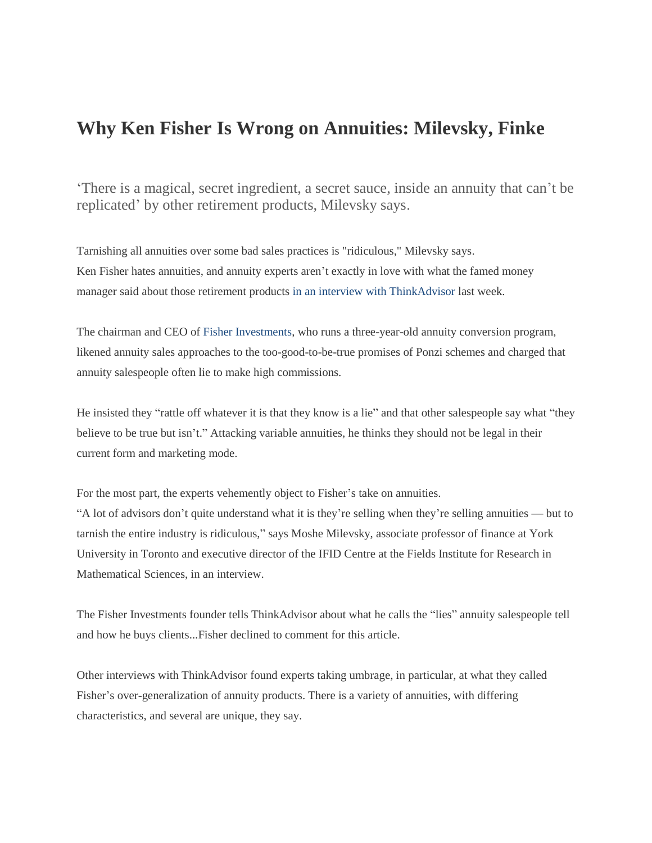## **Why Ken Fisher Is Wrong on Annuities: Milevsky, Finke**

'There is a magical, secret ingredient, a secret sauce, inside an annuity that can't be replicated' by other retirement products, Milevsky says.

Tarnishing all annuities over some bad sales practices is "ridiculous," Milevsky says. Ken Fisher hates annuities, and annuity experts aren't exactly in love with what the famed money manager said about those retirement products in an interview with ThinkAdvisor last week.

The chairman and CEO of Fisher Investments, who runs a three-year-old annuity conversion program, likened annuity sales approaches to the too-good-to-be-true promises of Ponzi schemes and charged that annuity salespeople often lie to make high commissions.

He insisted they "rattle off whatever it is that they know is a lie" and that other salespeople say what "they believe to be true but isn't." Attacking variable annuities, he thinks they should not be legal in their current form and marketing mode.

For the most part, the experts vehemently object to Fisher's take on annuities.

"A lot of advisors don't quite understand what it is they're selling when they're selling annuities — but to tarnish the entire industry is ridiculous," says Moshe Milevsky, associate professor of finance at York University in Toronto and executive director of the IFID Centre at the Fields Institute for Research in Mathematical Sciences, in an interview.

The Fisher Investments founder tells ThinkAdvisor about what he calls the "lies" annuity salespeople tell and how he buys clients...Fisher declined to comment for this article.

Other interviews with ThinkAdvisor found experts taking umbrage, in particular, at what they called Fisher's over-generalization of annuity products. There is a variety of annuities, with differing characteristics, and several are unique, they say.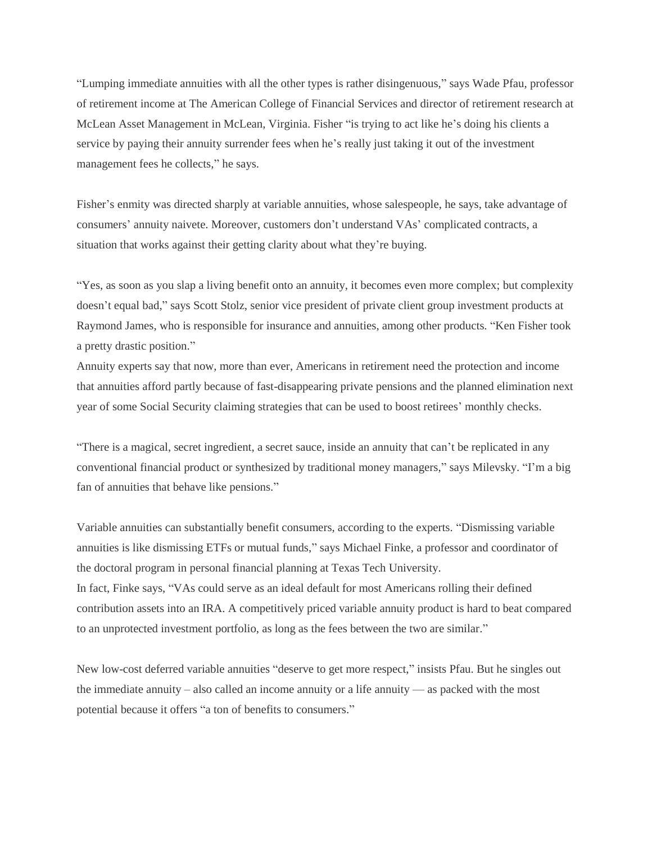"Lumping immediate annuities with all the other types is rather disingenuous," says Wade Pfau, professor of retirement income at The American College of Financial Services and director of retirement research at McLean Asset Management in McLean, Virginia. Fisher "is trying to act like he's doing his clients a service by paying their annuity surrender fees when he's really just taking it out of the investment management fees he collects," he says.

Fisher's enmity was directed sharply at variable annuities, whose salespeople, he says, take advantage of consumers' annuity naivete. Moreover, customers don't understand VAs' complicated contracts, a situation that works against their getting clarity about what they're buying.

"Yes, as soon as you slap a living benefit onto an annuity, it becomes even more complex; but complexity doesn't equal bad," says Scott Stolz, senior vice president of private client group investment products at Raymond James, who is responsible for insurance and annuities, among other products. "Ken Fisher took a pretty drastic position."

Annuity experts say that now, more than ever, Americans in retirement need the protection and income that annuities afford partly because of fast-disappearing private pensions and the planned elimination next year of some Social Security claiming strategies that can be used to boost retirees' monthly checks.

"There is a magical, secret ingredient, a secret sauce, inside an annuity that can't be replicated in any conventional financial product or synthesized by traditional money managers," says Milevsky. "I'm a big fan of annuities that behave like pensions."

Variable annuities can substantially benefit consumers, according to the experts. "Dismissing variable annuities is like dismissing ETFs or mutual funds," says Michael Finke, a professor and coordinator of the doctoral program in personal financial planning at Texas Tech University. In fact, Finke says, "VAs could serve as an ideal default for most Americans rolling their defined contribution assets into an IRA. A competitively priced variable annuity product is hard to beat compared to an unprotected investment portfolio, as long as the fees between the two are similar."

New low-cost deferred variable annuities "deserve to get more respect," insists Pfau. But he singles out the immediate annuity – also called an income annuity or a life annuity — as packed with the most potential because it offers "a ton of benefits to consumers."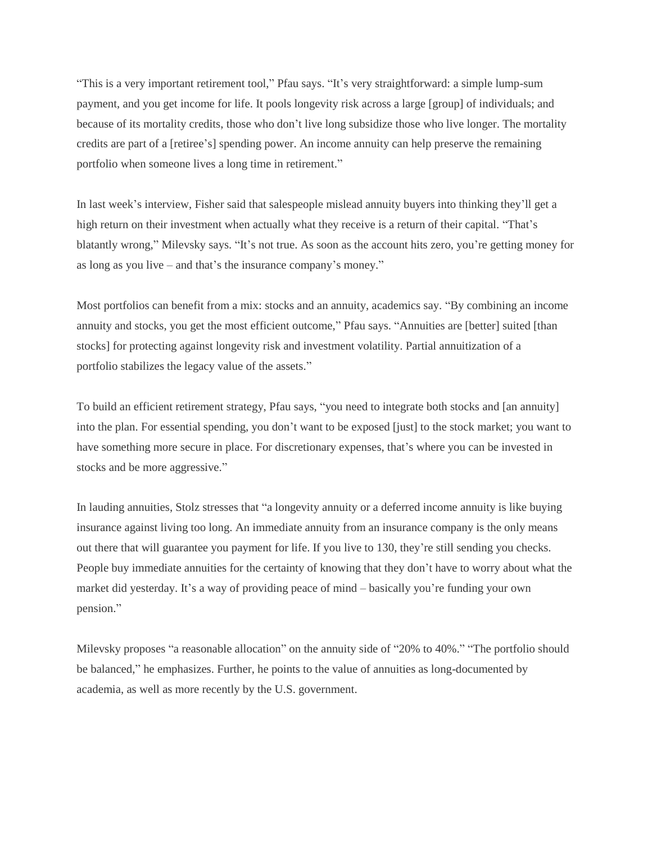"This is a very important retirement tool," Pfau says. "It's very straightforward: a simple lump-sum payment, and you get income for life. It pools longevity risk across a large [group] of individuals; and because of its mortality credits, those who don't live long subsidize those who live longer. The mortality credits are part of a [retiree's] spending power. An income annuity can help preserve the remaining portfolio when someone lives a long time in retirement."

In last week's interview, Fisher said that salespeople mislead annuity buyers into thinking they'll get a high return on their investment when actually what they receive is a return of their capital. "That's blatantly wrong," Milevsky says. "It's not true. As soon as the account hits zero, you're getting money for as long as you live – and that's the insurance company's money."

Most portfolios can benefit from a mix: stocks and an annuity, academics say. "By combining an income annuity and stocks, you get the most efficient outcome," Pfau says. "Annuities are [better] suited [than stocks] for protecting against longevity risk and investment volatility. Partial annuitization of a portfolio stabilizes the legacy value of the assets."

To build an efficient retirement strategy, Pfau says, "you need to integrate both stocks and [an annuity] into the plan. For essential spending, you don't want to be exposed [just] to the stock market; you want to have something more secure in place. For discretionary expenses, that's where you can be invested in stocks and be more aggressive."

In lauding annuities, Stolz stresses that "a longevity annuity or a deferred income annuity is like buying insurance against living too long. An immediate annuity from an insurance company is the only means out there that will guarantee you payment for life. If you live to 130, they're still sending you checks. People buy immediate annuities for the certainty of knowing that they don't have to worry about what the market did yesterday. It's a way of providing peace of mind – basically you're funding your own pension."

Milevsky proposes "a reasonable allocation" on the annuity side of "20% to 40%." "The portfolio should be balanced," he emphasizes. Further, he points to the value of annuities as long-documented by academia, as well as more recently by the U.S. government.